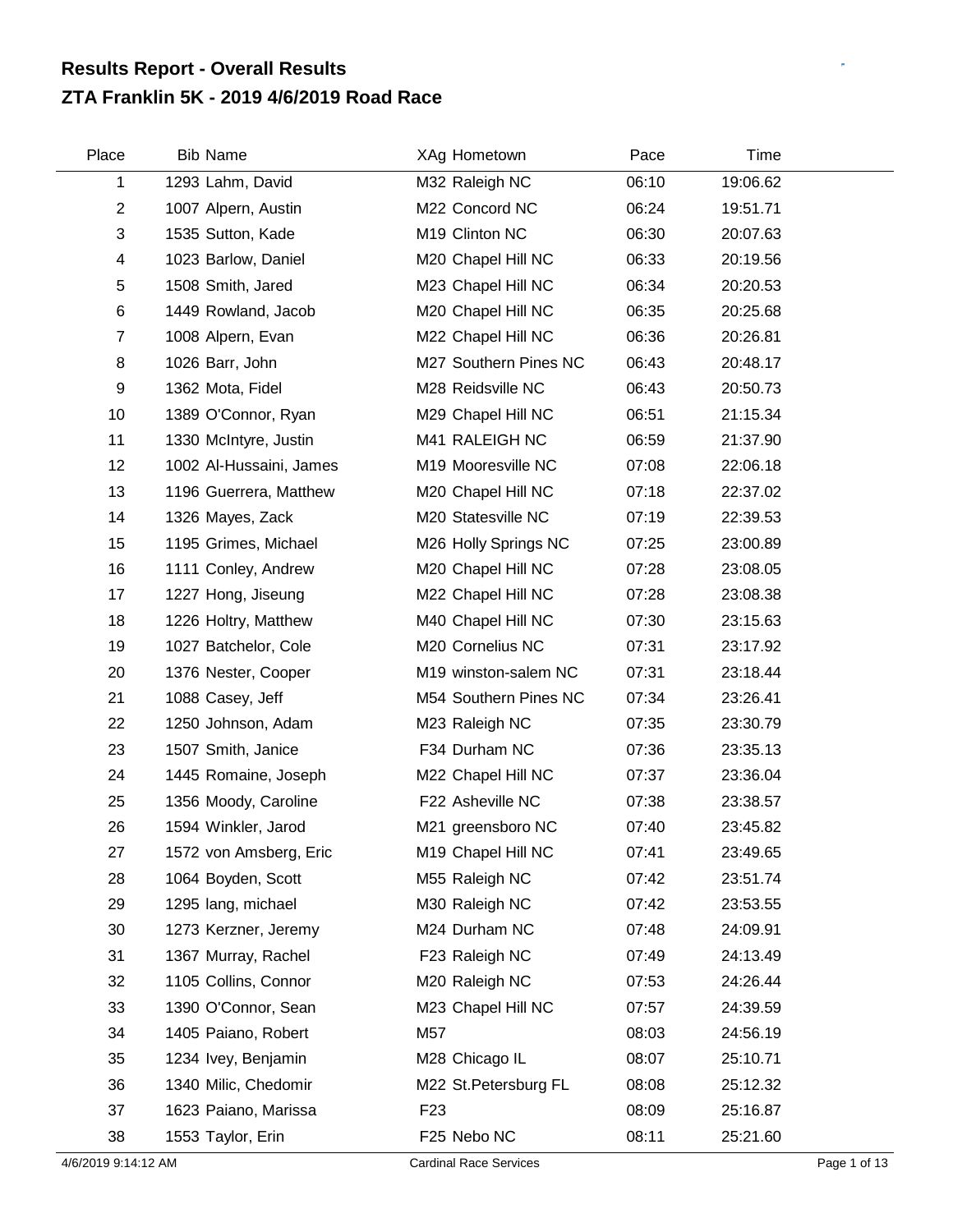## **ZTA Franklin 5K - 2019 4/6/2019 Road Race Results Report - Overall Results**

| Place          | <b>Bib Name</b>         | XAg Hometown          | Pace  | Time     |  |
|----------------|-------------------------|-----------------------|-------|----------|--|
| 1              | 1293 Lahm, David        | M32 Raleigh NC        | 06:10 | 19:06.62 |  |
| $\overline{2}$ | 1007 Alpern, Austin     | M22 Concord NC        | 06:24 | 19:51.71 |  |
| 3              | 1535 Sutton, Kade       | M19 Clinton NC        | 06:30 | 20:07.63 |  |
| 4              | 1023 Barlow, Daniel     | M20 Chapel Hill NC    | 06:33 | 20:19.56 |  |
| 5              | 1508 Smith, Jared       | M23 Chapel Hill NC    | 06:34 | 20:20.53 |  |
| 6              | 1449 Rowland, Jacob     | M20 Chapel Hill NC    | 06:35 | 20:25.68 |  |
| $\overline{7}$ | 1008 Alpern, Evan       | M22 Chapel Hill NC    | 06:36 | 20:26.81 |  |
| 8              | 1026 Barr, John         | M27 Southern Pines NC | 06:43 | 20:48.17 |  |
| 9              | 1362 Mota, Fidel        | M28 Reidsville NC     | 06:43 | 20:50.73 |  |
| 10             | 1389 O'Connor, Ryan     | M29 Chapel Hill NC    | 06:51 | 21:15.34 |  |
| 11             | 1330 McIntyre, Justin   | M41 RALEIGH NC        | 06:59 | 21:37.90 |  |
| 12             | 1002 Al-Hussaini, James | M19 Mooresville NC    | 07:08 | 22:06.18 |  |
| 13             | 1196 Guerrera, Matthew  | M20 Chapel Hill NC    | 07:18 | 22:37.02 |  |
| 14             | 1326 Mayes, Zack        | M20 Statesville NC    | 07:19 | 22:39.53 |  |
| 15             | 1195 Grimes, Michael    | M26 Holly Springs NC  | 07:25 | 23:00.89 |  |
| 16             | 1111 Conley, Andrew     | M20 Chapel Hill NC    | 07:28 | 23:08.05 |  |
| 17             | 1227 Hong, Jiseung      | M22 Chapel Hill NC    | 07:28 | 23:08.38 |  |
| 18             | 1226 Holtry, Matthew    | M40 Chapel Hill NC    | 07:30 | 23:15.63 |  |
| 19             | 1027 Batchelor, Cole    | M20 Cornelius NC      | 07:31 | 23:17.92 |  |
| 20             | 1376 Nester, Cooper     | M19 winston-salem NC  | 07:31 | 23:18.44 |  |
| 21             | 1088 Casey, Jeff        | M54 Southern Pines NC | 07:34 | 23:26.41 |  |
| 22             | 1250 Johnson, Adam      | M23 Raleigh NC        | 07:35 | 23:30.79 |  |
| 23             | 1507 Smith, Janice      | F34 Durham NC         | 07:36 | 23:35.13 |  |
| 24             | 1445 Romaine, Joseph    | M22 Chapel Hill NC    | 07:37 | 23:36.04 |  |
| 25             | 1356 Moody, Caroline    | F22 Asheville NC      | 07:38 | 23:38.57 |  |
| 26             | 1594 Winkler, Jarod     | M21 greensboro NC     | 07:40 | 23:45.82 |  |
| 27             | 1572 von Amsberg, Eric  | M19 Chapel Hill NC    | 07:41 | 23:49.65 |  |
| 28             | 1064 Boyden, Scott      | M55 Raleigh NC        | 07:42 | 23:51.74 |  |
| 29             | 1295 lang, michael      | M30 Raleigh NC        | 07:42 | 23:53.55 |  |
| 30             | 1273 Kerzner, Jeremy    | M24 Durham NC         | 07:48 | 24:09.91 |  |
| 31             | 1367 Murray, Rachel     | F23 Raleigh NC        | 07:49 | 24:13.49 |  |
| 32             | 1105 Collins, Connor    | M20 Raleigh NC        | 07:53 | 24:26.44 |  |
| 33             | 1390 O'Connor, Sean     | M23 Chapel Hill NC    | 07:57 | 24:39.59 |  |
| 34             | 1405 Paiano, Robert     | M57                   | 08:03 | 24:56.19 |  |
| 35             | 1234 Ivey, Benjamin     | M28 Chicago IL        | 08:07 | 25:10.71 |  |
| 36             | 1340 Milic, Chedomir    | M22 St. Petersburg FL | 08:08 | 25:12.32 |  |
| 37             | 1623 Paiano, Marissa    | F <sub>23</sub>       | 08:09 | 25:16.87 |  |
| 38             | 1553 Taylor, Erin       | F25 Nebo NC           | 08:11 | 25:21.60 |  |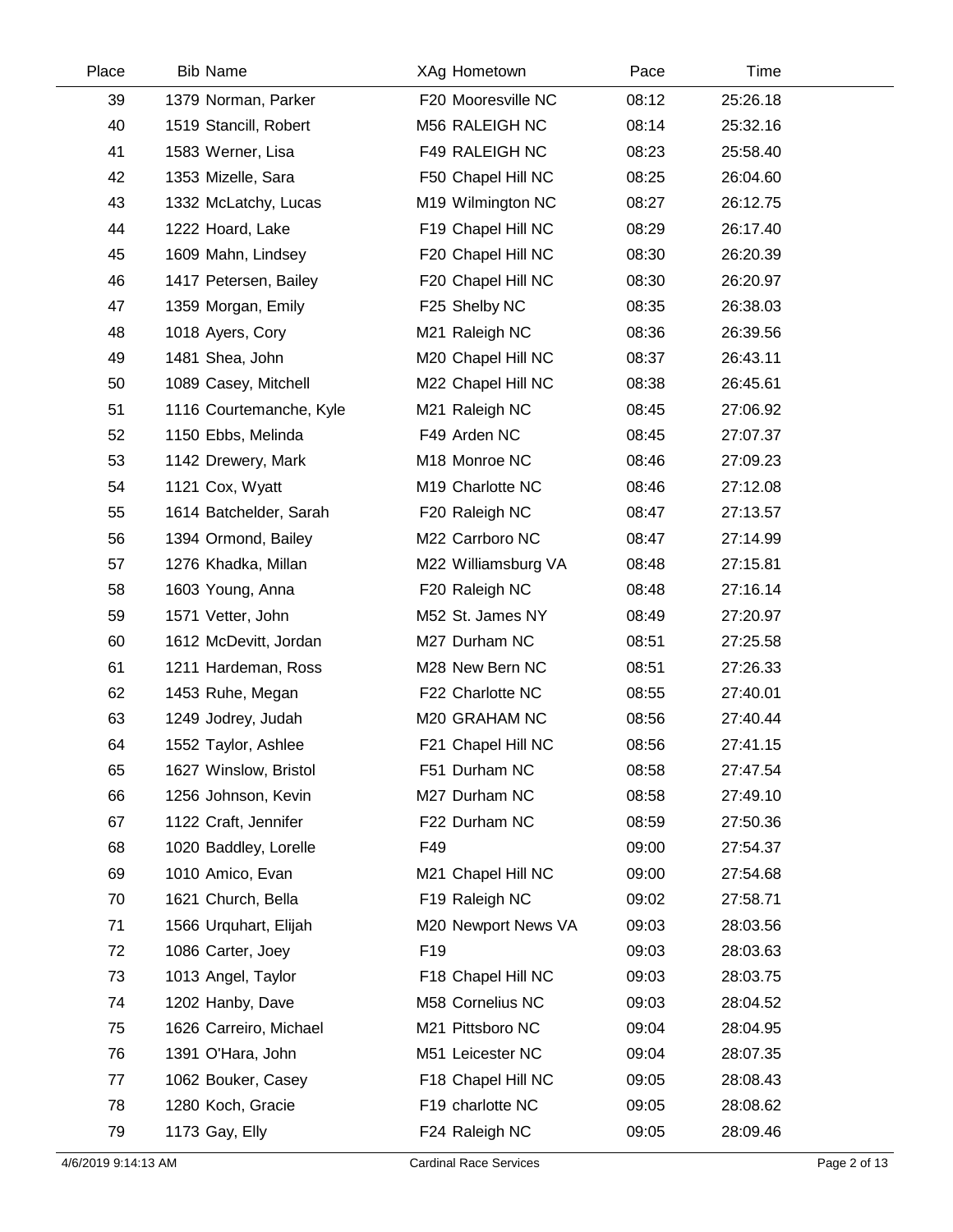| Place | <b>Bib Name</b>         | XAg Hometown        | Pace  | Time     |  |
|-------|-------------------------|---------------------|-------|----------|--|
| 39    | 1379 Norman, Parker     | F20 Mooresville NC  | 08:12 | 25:26.18 |  |
| 40    | 1519 Stancill, Robert   | M56 RALEIGH NC      | 08:14 | 25:32.16 |  |
| 41    | 1583 Werner, Lisa       | F49 RALEIGH NC      | 08:23 | 25:58.40 |  |
| 42    | 1353 Mizelle, Sara      | F50 Chapel Hill NC  | 08:25 | 26:04.60 |  |
| 43    | 1332 McLatchy, Lucas    | M19 Wilmington NC   | 08:27 | 26:12.75 |  |
| 44    | 1222 Hoard, Lake        | F19 Chapel Hill NC  | 08:29 | 26:17.40 |  |
| 45    | 1609 Mahn, Lindsey      | F20 Chapel Hill NC  | 08:30 | 26:20.39 |  |
| 46    | 1417 Petersen, Bailey   | F20 Chapel Hill NC  | 08:30 | 26:20.97 |  |
| 47    | 1359 Morgan, Emily      | F25 Shelby NC       | 08:35 | 26:38.03 |  |
| 48    | 1018 Ayers, Cory        | M21 Raleigh NC      | 08:36 | 26:39.56 |  |
| 49    | 1481 Shea, John         | M20 Chapel Hill NC  | 08:37 | 26:43.11 |  |
| 50    | 1089 Casey, Mitchell    | M22 Chapel Hill NC  | 08:38 | 26:45.61 |  |
| 51    | 1116 Courtemanche, Kyle | M21 Raleigh NC      | 08:45 | 27:06.92 |  |
| 52    | 1150 Ebbs, Melinda      | F49 Arden NC        | 08:45 | 27:07.37 |  |
| 53    | 1142 Drewery, Mark      | M18 Monroe NC       | 08:46 | 27:09.23 |  |
| 54    | 1121 Cox, Wyatt         | M19 Charlotte NC    | 08:46 | 27:12.08 |  |
| 55    | 1614 Batchelder, Sarah  | F20 Raleigh NC      | 08:47 | 27:13.57 |  |
| 56    | 1394 Ormond, Bailey     | M22 Carrboro NC     | 08:47 | 27:14.99 |  |
| 57    | 1276 Khadka, Millan     | M22 Williamsburg VA | 08:48 | 27:15.81 |  |
| 58    | 1603 Young, Anna        | F20 Raleigh NC      | 08:48 | 27:16.14 |  |
| 59    | 1571 Vetter, John       | M52 St. James NY    | 08:49 | 27:20.97 |  |
| 60    | 1612 McDevitt, Jordan   | M27 Durham NC       | 08:51 | 27:25.58 |  |
| 61    | 1211 Hardeman, Ross     | M28 New Bern NC     | 08:51 | 27:26.33 |  |
| 62    | 1453 Ruhe, Megan        | F22 Charlotte NC    | 08:55 | 27:40.01 |  |
| 63    | 1249 Jodrey, Judah      | M20 GRAHAM NC       | 08:56 | 27:40.44 |  |
| 64    | 1552 Taylor, Ashlee     | F21 Chapel Hill NC  | 08:56 | 27:41.15 |  |
| 65    | 1627 Winslow, Bristol   | F51 Durham NC       | 08:58 | 27:47.54 |  |
| 66    | 1256 Johnson, Kevin     | M27 Durham NC       | 08:58 | 27:49.10 |  |
| 67    | 1122 Craft, Jennifer    | F22 Durham NC       | 08:59 | 27:50.36 |  |
| 68    | 1020 Baddley, Lorelle   | F49                 | 09:00 | 27:54.37 |  |
| 69    | 1010 Amico, Evan        | M21 Chapel Hill NC  | 09:00 | 27:54.68 |  |
| 70    | 1621 Church, Bella      | F19 Raleigh NC      | 09:02 | 27:58.71 |  |
| 71    | 1566 Urquhart, Elijah   | M20 Newport News VA | 09:03 | 28:03.56 |  |
| 72    | 1086 Carter, Joey       | F <sub>19</sub>     | 09:03 | 28:03.63 |  |
| 73    | 1013 Angel, Taylor      | F18 Chapel Hill NC  | 09:03 | 28:03.75 |  |
| 74    | 1202 Hanby, Dave        | M58 Cornelius NC    | 09:03 | 28:04.52 |  |
| 75    | 1626 Carreiro, Michael  | M21 Pittsboro NC    | 09:04 | 28:04.95 |  |
| 76    | 1391 O'Hara, John       | M51 Leicester NC    | 09:04 | 28:07.35 |  |
| 77    | 1062 Bouker, Casey      | F18 Chapel Hill NC  | 09:05 | 28:08.43 |  |
| 78    | 1280 Koch, Gracie       | F19 charlotte NC    | 09:05 | 28:08.62 |  |
| 79    | 1173 Gay, Elly          | F24 Raleigh NC      | 09:05 | 28:09.46 |  |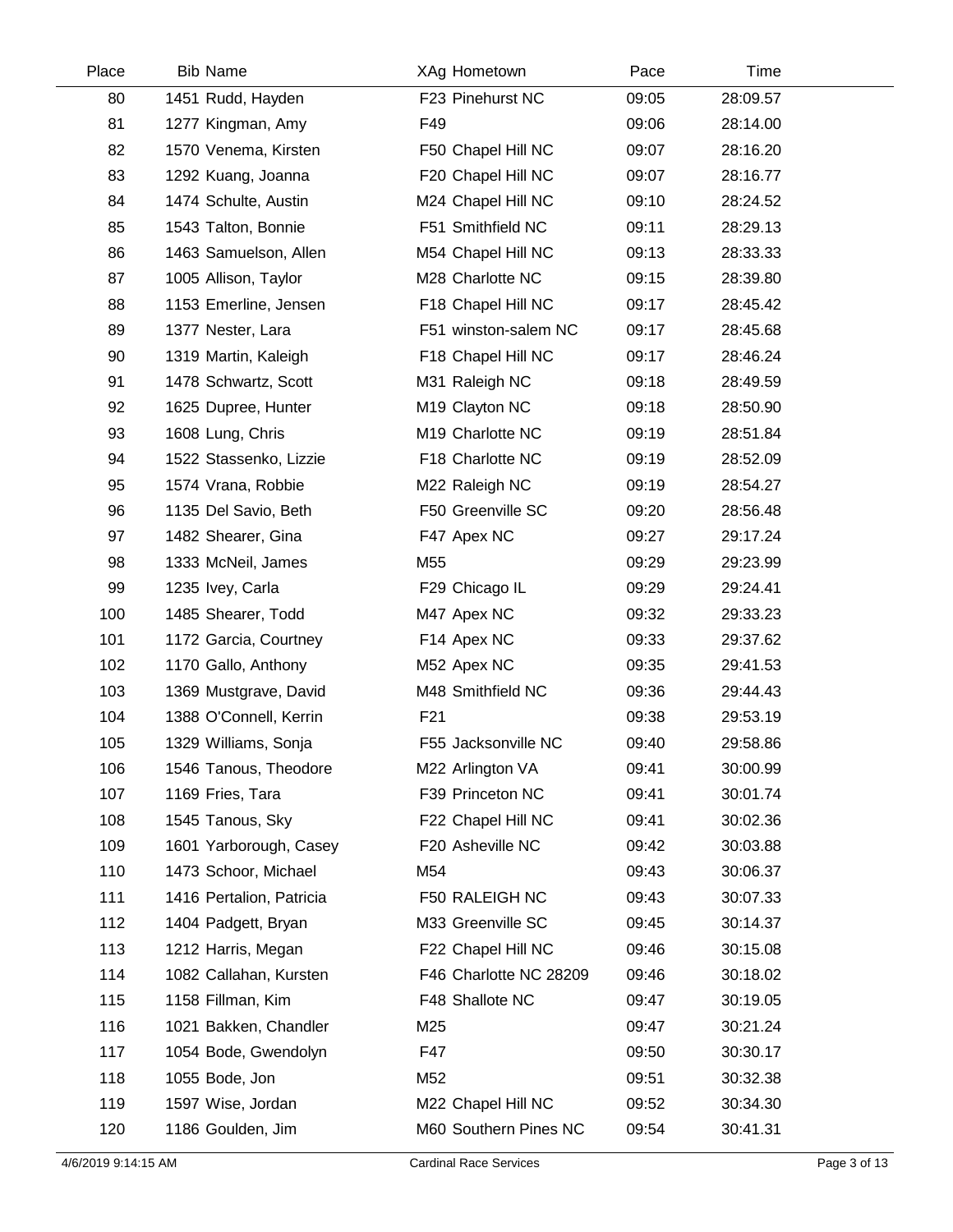| Place | <b>Bib Name</b>          | XAg Hometown           | Pace  | Time     |  |
|-------|--------------------------|------------------------|-------|----------|--|
| 80    | 1451 Rudd, Hayden        | F23 Pinehurst NC       | 09:05 | 28:09.57 |  |
| 81    | 1277 Kingman, Amy        | F49                    | 09:06 | 28:14.00 |  |
| 82    | 1570 Venema, Kirsten     | F50 Chapel Hill NC     | 09:07 | 28:16.20 |  |
| 83    | 1292 Kuang, Joanna       | F20 Chapel Hill NC     | 09:07 | 28:16.77 |  |
| 84    | 1474 Schulte, Austin     | M24 Chapel Hill NC     | 09:10 | 28:24.52 |  |
| 85    | 1543 Talton, Bonnie      | F51 Smithfield NC      | 09:11 | 28:29.13 |  |
| 86    | 1463 Samuelson, Allen    | M54 Chapel Hill NC     | 09:13 | 28:33.33 |  |
| 87    | 1005 Allison, Taylor     | M28 Charlotte NC       | 09:15 | 28:39.80 |  |
| 88    | 1153 Emerline, Jensen    | F18 Chapel Hill NC     | 09:17 | 28:45.42 |  |
| 89    | 1377 Nester, Lara        | F51 winston-salem NC   | 09:17 | 28:45.68 |  |
| 90    | 1319 Martin, Kaleigh     | F18 Chapel Hill NC     | 09:17 | 28:46.24 |  |
| 91    | 1478 Schwartz, Scott     | M31 Raleigh NC         | 09:18 | 28:49.59 |  |
| 92    | 1625 Dupree, Hunter      | M19 Clayton NC         | 09:18 | 28:50.90 |  |
| 93    | 1608 Lung, Chris         | M19 Charlotte NC       | 09:19 | 28:51.84 |  |
| 94    | 1522 Stassenko, Lizzie   | F18 Charlotte NC       | 09:19 | 28:52.09 |  |
| 95    | 1574 Vrana, Robbie       | M22 Raleigh NC         | 09:19 | 28:54.27 |  |
| 96    | 1135 Del Savio, Beth     | F50 Greenville SC      | 09:20 | 28:56.48 |  |
| 97    | 1482 Shearer, Gina       | F47 Apex NC            | 09:27 | 29:17.24 |  |
| 98    | 1333 McNeil, James       | M55                    | 09:29 | 29:23.99 |  |
| 99    | 1235 Ivey, Carla         | F29 Chicago IL         | 09:29 | 29:24.41 |  |
| 100   | 1485 Shearer, Todd       | M47 Apex NC            | 09:32 | 29:33.23 |  |
| 101   | 1172 Garcia, Courtney    | F14 Apex NC            | 09:33 | 29:37.62 |  |
| 102   | 1170 Gallo, Anthony      | M52 Apex NC            | 09:35 | 29:41.53 |  |
| 103   | 1369 Mustgrave, David    | M48 Smithfield NC      | 09:36 | 29:44.43 |  |
| 104   | 1388 O'Connell, Kerrin   | F <sub>21</sub>        | 09:38 | 29:53.19 |  |
| 105   | 1329 Williams, Sonja     | F55 Jacksonville NC    | 09:40 | 29:58.86 |  |
| 106   | 1546 Tanous, Theodore    | M22 Arlington VA       | 09:41 | 30:00.99 |  |
| 107   | 1169 Fries, Tara         | F39 Princeton NC       | 09:41 | 30:01.74 |  |
| 108   | 1545 Tanous, Sky         | F22 Chapel Hill NC     | 09:41 | 30:02.36 |  |
| 109   | 1601 Yarborough, Casey   | F20 Asheville NC       | 09:42 | 30:03.88 |  |
| 110   | 1473 Schoor, Michael     | M54                    | 09:43 | 30:06.37 |  |
| 111   | 1416 Pertalion, Patricia | F50 RALEIGH NC         | 09:43 | 30:07.33 |  |
| 112   | 1404 Padgett, Bryan      | M33 Greenville SC      | 09:45 | 30:14.37 |  |
| 113   | 1212 Harris, Megan       | F22 Chapel Hill NC     | 09:46 | 30:15.08 |  |
| 114   | 1082 Callahan, Kursten   | F46 Charlotte NC 28209 | 09:46 | 30:18.02 |  |
| 115   | 1158 Fillman, Kim        | F48 Shallote NC        | 09:47 | 30:19.05 |  |
| 116   | 1021 Bakken, Chandler    | M25                    | 09:47 | 30:21.24 |  |
| 117   | 1054 Bode, Gwendolyn     | F47                    | 09:50 | 30:30.17 |  |
| 118   | 1055 Bode, Jon           | M52                    | 09:51 | 30:32.38 |  |
| 119   | 1597 Wise, Jordan        | M22 Chapel Hill NC     | 09:52 | 30:34.30 |  |
| 120   | 1186 Goulden, Jim        | M60 Southern Pines NC  | 09:54 | 30:41.31 |  |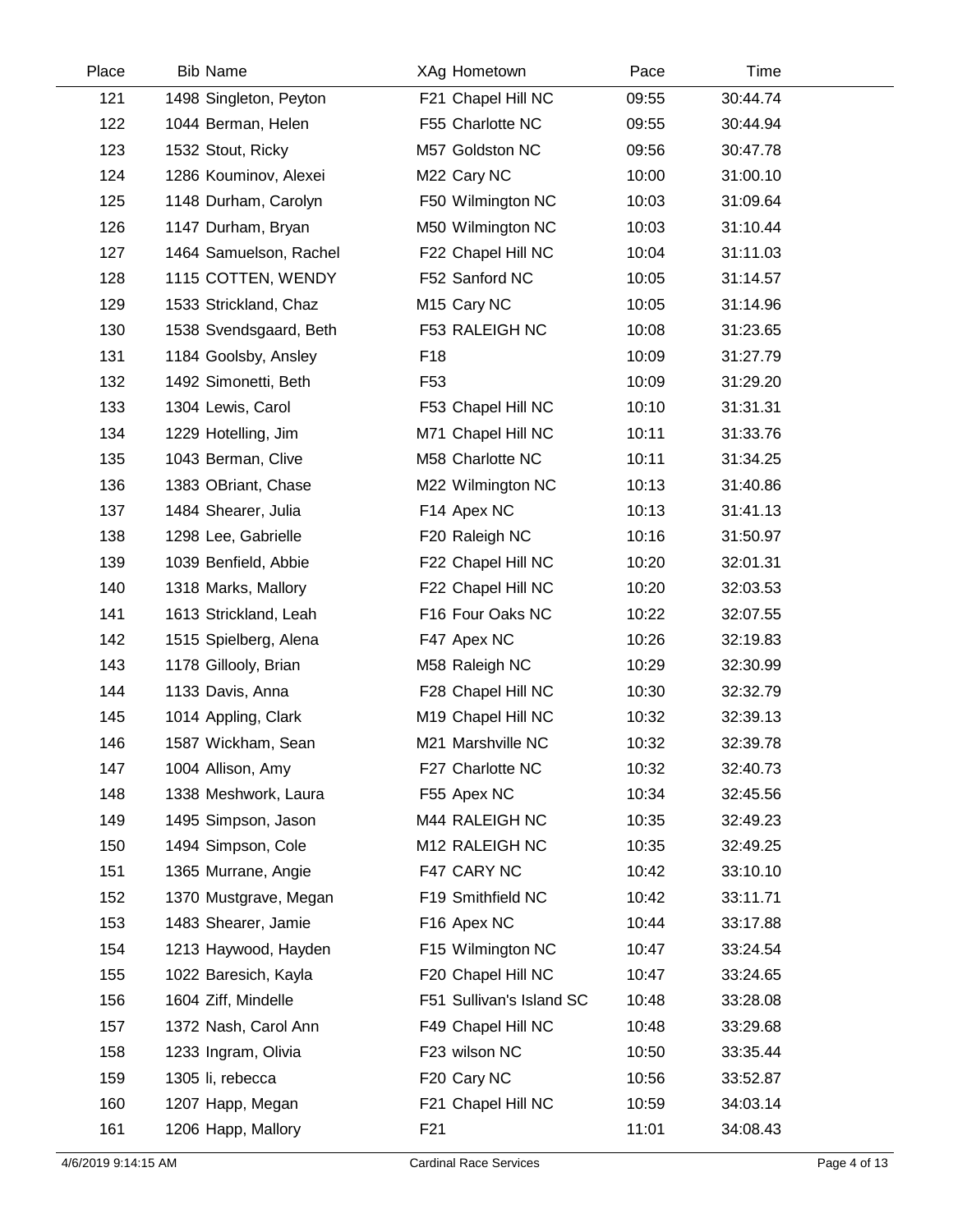| Place | <b>Bib Name</b>        | XAg Hometown             | Pace  | Time     |  |
|-------|------------------------|--------------------------|-------|----------|--|
| 121   | 1498 Singleton, Peyton | F21 Chapel Hill NC       | 09:55 | 30:44.74 |  |
| 122   | 1044 Berman, Helen     | F55 Charlotte NC         | 09:55 | 30:44.94 |  |
| 123   | 1532 Stout, Ricky      | M57 Goldston NC          | 09:56 | 30:47.78 |  |
| 124   | 1286 Kouminov, Alexei  | M22 Cary NC              | 10:00 | 31:00.10 |  |
| 125   | 1148 Durham, Carolyn   | F50 Wilmington NC        | 10:03 | 31:09.64 |  |
| 126   | 1147 Durham, Bryan     | M50 Wilmington NC        | 10:03 | 31:10.44 |  |
| 127   | 1464 Samuelson, Rachel | F22 Chapel Hill NC       | 10:04 | 31:11.03 |  |
| 128   | 1115 COTTEN, WENDY     | F52 Sanford NC           | 10:05 | 31:14.57 |  |
| 129   | 1533 Strickland, Chaz  | M <sub>15</sub> Cary NC  | 10:05 | 31:14.96 |  |
| 130   | 1538 Svendsgaard, Beth | F53 RALEIGH NC           | 10:08 | 31:23.65 |  |
| 131   | 1184 Goolsby, Ansley   | F <sub>18</sub>          | 10:09 | 31:27.79 |  |
| 132   | 1492 Simonetti, Beth   | F <sub>53</sub>          | 10:09 | 31:29.20 |  |
| 133   | 1304 Lewis, Carol      | F53 Chapel Hill NC       | 10:10 | 31:31.31 |  |
| 134   | 1229 Hotelling, Jim    | M71 Chapel Hill NC       | 10:11 | 31:33.76 |  |
| 135   | 1043 Berman, Clive     | M58 Charlotte NC         | 10:11 | 31:34.25 |  |
| 136   | 1383 OBriant, Chase    | M22 Wilmington NC        | 10:13 | 31:40.86 |  |
| 137   | 1484 Shearer, Julia    | F14 Apex NC              | 10:13 | 31:41.13 |  |
| 138   | 1298 Lee, Gabrielle    | F20 Raleigh NC           | 10:16 | 31:50.97 |  |
| 139   | 1039 Benfield, Abbie   | F22 Chapel Hill NC       | 10:20 | 32:01.31 |  |
| 140   | 1318 Marks, Mallory    | F22 Chapel Hill NC       | 10:20 | 32:03.53 |  |
| 141   | 1613 Strickland, Leah  | F16 Four Oaks NC         | 10:22 | 32:07.55 |  |
| 142   | 1515 Spielberg, Alena  | F47 Apex NC              | 10:26 | 32:19.83 |  |
| 143   | 1178 Gillooly, Brian   | M58 Raleigh NC           | 10:29 | 32:30.99 |  |
| 144   | 1133 Davis, Anna       | F28 Chapel Hill NC       | 10:30 | 32:32.79 |  |
| 145   | 1014 Appling, Clark    | M19 Chapel Hill NC       | 10:32 | 32:39.13 |  |
| 146   | 1587 Wickham, Sean     | M21 Marshville NC        | 10:32 | 32:39.78 |  |
| 147   | 1004 Allison, Amy      | F27 Charlotte NC         | 10:32 | 32:40.73 |  |
| 148   | 1338 Meshwork, Laura   | F55 Apex NC              | 10:34 | 32:45.56 |  |
| 149   | 1495 Simpson, Jason    | M44 RALEIGH NC           | 10:35 | 32:49.23 |  |
| 150   | 1494 Simpson, Cole     | M12 RALEIGH NC           | 10:35 | 32:49.25 |  |
| 151   | 1365 Murrane, Angie    | F47 CARY NC              | 10:42 | 33:10.10 |  |
| 152   | 1370 Mustgrave, Megan  | F19 Smithfield NC        | 10:42 | 33:11.71 |  |
| 153   | 1483 Shearer, Jamie    | F16 Apex NC              | 10:44 | 33:17.88 |  |
| 154   | 1213 Haywood, Hayden   | F15 Wilmington NC        | 10:47 | 33:24.54 |  |
| 155   | 1022 Baresich, Kayla   | F20 Chapel Hill NC       | 10:47 | 33:24.65 |  |
| 156   | 1604 Ziff, Mindelle    | F51 Sullivan's Island SC | 10:48 | 33:28.08 |  |
| 157   | 1372 Nash, Carol Ann   | F49 Chapel Hill NC       | 10:48 | 33:29.68 |  |
| 158   | 1233 Ingram, Olivia    | F23 wilson NC            | 10:50 | 33:35.44 |  |
| 159   | 1305 li, rebecca       | F20 Cary NC              | 10:56 | 33:52.87 |  |
| 160   | 1207 Happ, Megan       | F21 Chapel Hill NC       | 10:59 | 34:03.14 |  |
| 161   | 1206 Happ, Mallory     | F <sub>21</sub>          | 11:01 | 34:08.43 |  |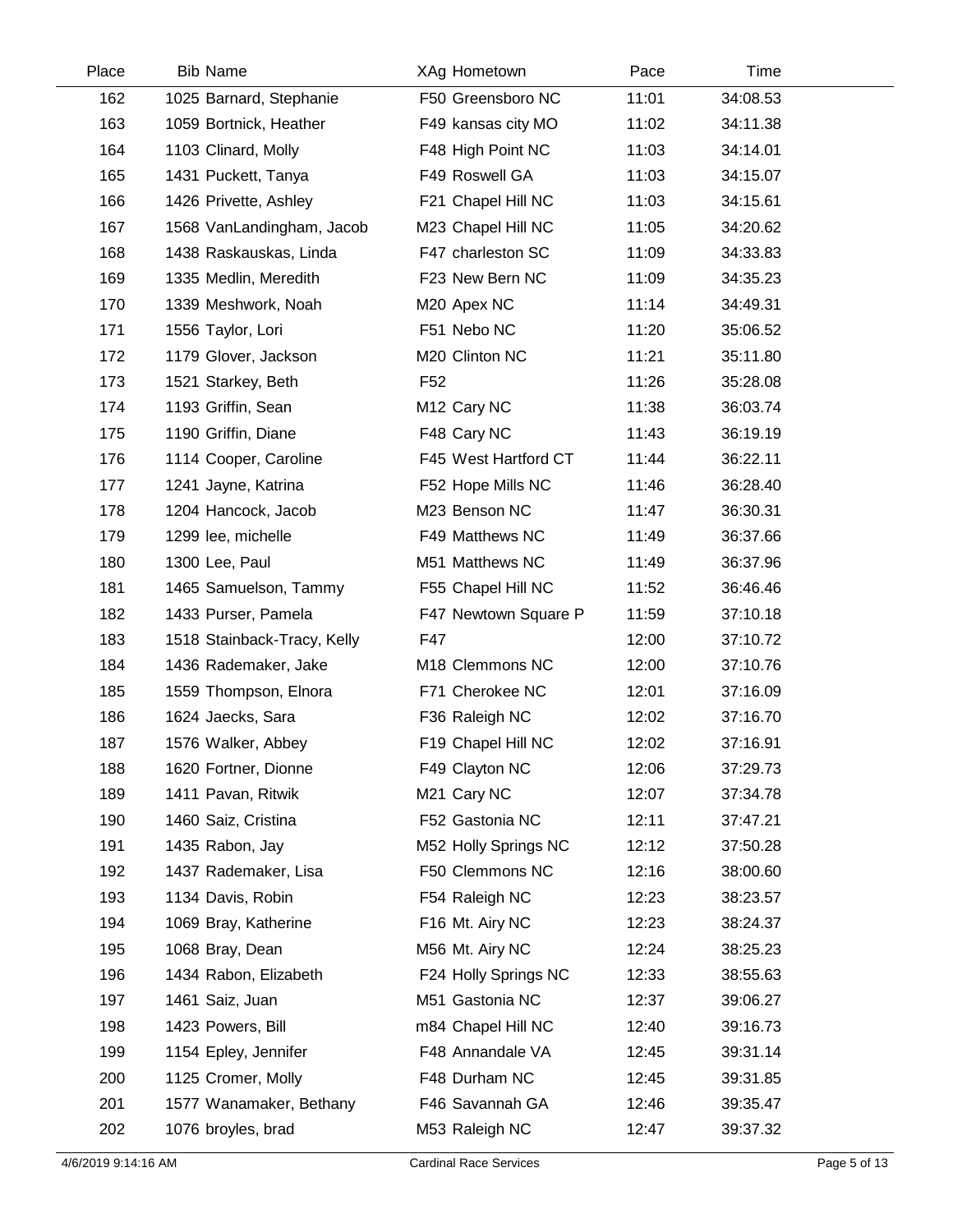| Place | <b>Bib Name</b>             | XAg Hometown            | Pace  | Time     |  |
|-------|-----------------------------|-------------------------|-------|----------|--|
| 162   | 1025 Barnard, Stephanie     | F50 Greensboro NC       | 11:01 | 34:08.53 |  |
| 163   | 1059 Bortnick, Heather      | F49 kansas city MO      | 11:02 | 34:11.38 |  |
| 164   | 1103 Clinard, Molly         | F48 High Point NC       | 11:03 | 34:14.01 |  |
| 165   | 1431 Puckett, Tanya         | F49 Roswell GA          | 11:03 | 34:15.07 |  |
| 166   | 1426 Privette, Ashley       | F21 Chapel Hill NC      | 11:03 | 34:15.61 |  |
| 167   | 1568 VanLandingham, Jacob   | M23 Chapel Hill NC      | 11:05 | 34:20.62 |  |
| 168   | 1438 Raskauskas, Linda      | F47 charleston SC       | 11:09 | 34:33.83 |  |
| 169   | 1335 Medlin, Meredith       | F23 New Bern NC         | 11:09 | 34:35.23 |  |
| 170   | 1339 Meshwork, Noah         | M20 Apex NC             | 11:14 | 34:49.31 |  |
| 171   | 1556 Taylor, Lori           | F51 Nebo NC             | 11:20 | 35:06.52 |  |
| 172   | 1179 Glover, Jackson        | M20 Clinton NC          | 11:21 | 35:11.80 |  |
| 173   | 1521 Starkey, Beth          | F <sub>52</sub>         | 11:26 | 35:28.08 |  |
| 174   | 1193 Griffin, Sean          | M <sub>12</sub> Cary NC | 11:38 | 36:03.74 |  |
| 175   | 1190 Griffin, Diane         | F48 Cary NC             | 11:43 | 36:19.19 |  |
| 176   | 1114 Cooper, Caroline       | F45 West Hartford CT    | 11:44 | 36:22.11 |  |
| 177   | 1241 Jayne, Katrina         | F52 Hope Mills NC       | 11:46 | 36:28.40 |  |
| 178   | 1204 Hancock, Jacob         | M23 Benson NC           | 11:47 | 36:30.31 |  |
| 179   | 1299 lee, michelle          | F49 Matthews NC         | 11:49 | 36:37.66 |  |
| 180   | 1300 Lee, Paul              | M51 Matthews NC         | 11:49 | 36:37.96 |  |
| 181   | 1465 Samuelson, Tammy       | F55 Chapel Hill NC      | 11:52 | 36:46.46 |  |
| 182   | 1433 Purser, Pamela         | F47 Newtown Square P    | 11:59 | 37:10.18 |  |
| 183   | 1518 Stainback-Tracy, Kelly | F47                     | 12:00 | 37:10.72 |  |
| 184   | 1436 Rademaker, Jake        | M18 Clemmons NC         | 12:00 | 37:10.76 |  |
| 185   | 1559 Thompson, Elnora       | F71 Cherokee NC         | 12:01 | 37:16.09 |  |
| 186   | 1624 Jaecks, Sara           | F36 Raleigh NC          | 12:02 | 37:16.70 |  |
| 187   | 1576 Walker, Abbey          | F19 Chapel Hill NC      | 12:02 | 37:16.91 |  |
| 188   | 1620 Fortner, Dionne        | F49 Clayton NC          | 12:06 | 37:29.73 |  |
| 189   | 1411 Pavan, Ritwik          | M21 Cary NC             | 12:07 | 37:34.78 |  |
| 190   | 1460 Saiz, Cristina         | F52 Gastonia NC         | 12:11 | 37:47.21 |  |
| 191   | 1435 Rabon, Jay             | M52 Holly Springs NC    | 12:12 | 37:50.28 |  |
| 192   | 1437 Rademaker, Lisa        | F50 Clemmons NC         | 12:16 | 38:00.60 |  |
| 193   | 1134 Davis, Robin           | F54 Raleigh NC          | 12:23 | 38:23.57 |  |
| 194   | 1069 Bray, Katherine        | F16 Mt. Airy NC         | 12:23 | 38:24.37 |  |
| 195   | 1068 Bray, Dean             | M56 Mt. Airy NC         | 12:24 | 38:25.23 |  |
| 196   | 1434 Rabon, Elizabeth       | F24 Holly Springs NC    | 12:33 | 38:55.63 |  |
| 197   | 1461 Saiz, Juan             | M51 Gastonia NC         | 12:37 | 39:06.27 |  |
| 198   | 1423 Powers, Bill           | m84 Chapel Hill NC      | 12:40 | 39:16.73 |  |
| 199   | 1154 Epley, Jennifer        | F48 Annandale VA        | 12:45 | 39:31.14 |  |
| 200   | 1125 Cromer, Molly          | F48 Durham NC           | 12:45 | 39:31.85 |  |
| 201   | 1577 Wanamaker, Bethany     | F46 Savannah GA         | 12:46 | 39:35.47 |  |
| 202   | 1076 broyles, brad          | M53 Raleigh NC          | 12:47 | 39:37.32 |  |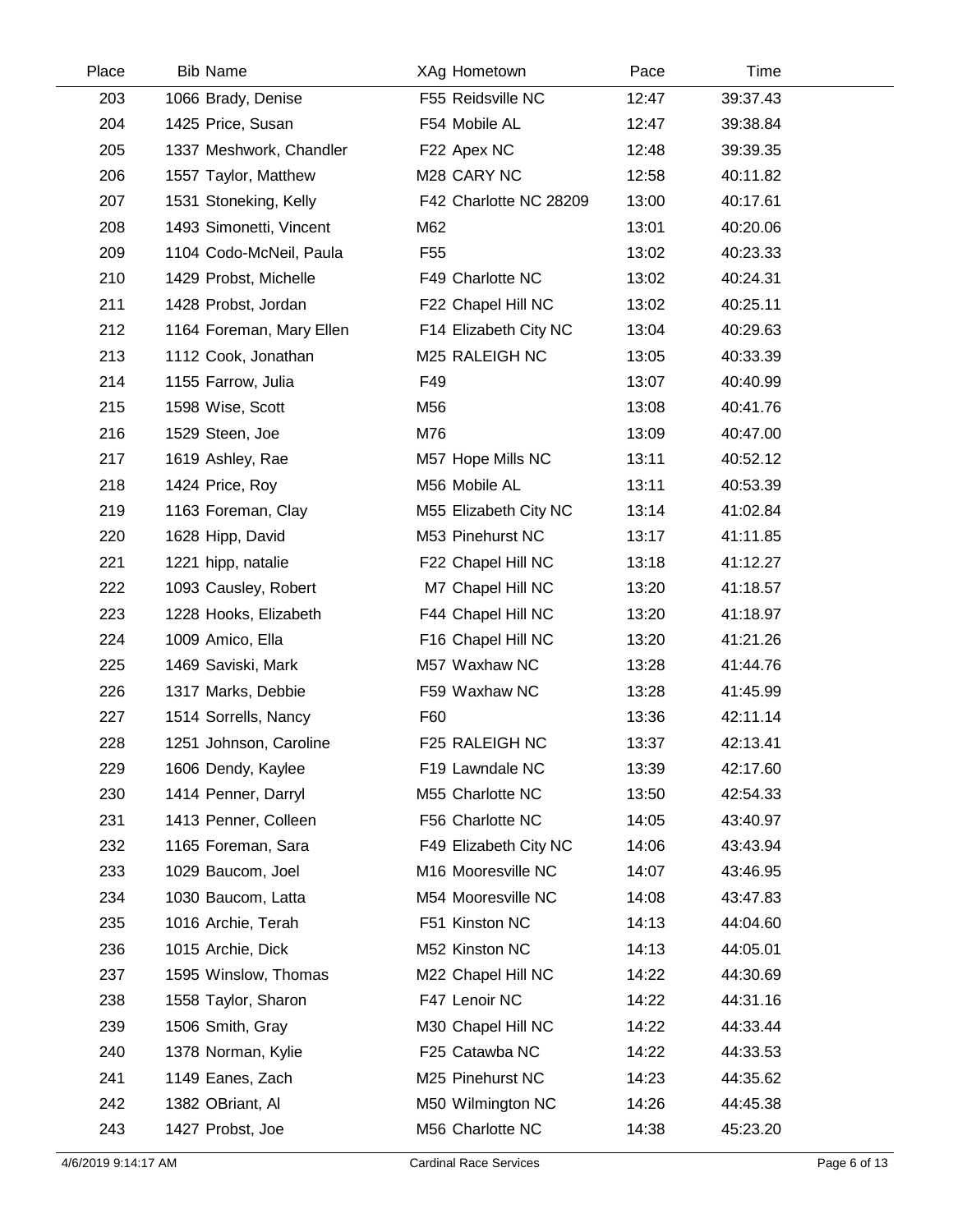| Place | <b>Bib Name</b>          | XAg Hometown           | Pace  | Time     |  |
|-------|--------------------------|------------------------|-------|----------|--|
| 203   | 1066 Brady, Denise       | F55 Reidsville NC      | 12:47 | 39:37.43 |  |
| 204   | 1425 Price, Susan        | F54 Mobile AL          | 12:47 | 39:38.84 |  |
| 205   | 1337 Meshwork, Chandler  | F22 Apex NC            | 12:48 | 39:39.35 |  |
| 206   | 1557 Taylor, Matthew     | M28 CARY NC            | 12:58 | 40:11.82 |  |
| 207   | 1531 Stoneking, Kelly    | F42 Charlotte NC 28209 | 13:00 | 40:17.61 |  |
| 208   | 1493 Simonetti, Vincent  | M62                    | 13:01 | 40:20.06 |  |
| 209   | 1104 Codo-McNeil, Paula  | F55                    | 13:02 | 40:23.33 |  |
| 210   | 1429 Probst, Michelle    | F49 Charlotte NC       | 13:02 | 40:24.31 |  |
| 211   | 1428 Probst, Jordan      | F22 Chapel Hill NC     | 13:02 | 40:25.11 |  |
| 212   | 1164 Foreman, Mary Ellen | F14 Elizabeth City NC  | 13:04 | 40:29.63 |  |
| 213   | 1112 Cook, Jonathan      | M25 RALEIGH NC         | 13:05 | 40:33.39 |  |
| 214   | 1155 Farrow, Julia       | F49                    | 13:07 | 40:40.99 |  |
| 215   | 1598 Wise, Scott         | M56                    | 13:08 | 40:41.76 |  |
| 216   | 1529 Steen, Joe          | M76                    | 13:09 | 40:47.00 |  |
| 217   | 1619 Ashley, Rae         | M57 Hope Mills NC      | 13:11 | 40:52.12 |  |
| 218   | 1424 Price, Roy          | M56 Mobile AL          | 13:11 | 40:53.39 |  |
| 219   | 1163 Foreman, Clay       | M55 Elizabeth City NC  | 13:14 | 41:02.84 |  |
| 220   | 1628 Hipp, David         | M53 Pinehurst NC       | 13:17 | 41:11.85 |  |
| 221   | 1221 hipp, natalie       | F22 Chapel Hill NC     | 13:18 | 41:12.27 |  |
| 222   | 1093 Causley, Robert     | M7 Chapel Hill NC      | 13:20 | 41:18.57 |  |
| 223   | 1228 Hooks, Elizabeth    | F44 Chapel Hill NC     | 13:20 | 41:18.97 |  |
| 224   | 1009 Amico, Ella         | F16 Chapel Hill NC     | 13:20 | 41:21.26 |  |
| 225   | 1469 Saviski, Mark       | M57 Waxhaw NC          | 13:28 | 41:44.76 |  |
| 226   | 1317 Marks, Debbie       | F59 Waxhaw NC          | 13:28 | 41:45.99 |  |
| 227   | 1514 Sorrells, Nancy     | F60                    | 13:36 | 42:11.14 |  |
| 228   | 1251 Johnson, Caroline   | F25 RALEIGH NC         | 13:37 | 42:13.41 |  |
| 229   | 1606 Dendy, Kaylee       | F19 Lawndale NC        | 13:39 | 42:17.60 |  |
| 230   | 1414 Penner, Darryl      | M55 Charlotte NC       | 13:50 | 42:54.33 |  |
| 231   | 1413 Penner, Colleen     | F56 Charlotte NC       | 14:05 | 43:40.97 |  |
| 232   | 1165 Foreman, Sara       | F49 Elizabeth City NC  | 14:06 | 43:43.94 |  |
| 233   | 1029 Baucom, Joel        | M16 Mooresville NC     | 14:07 | 43:46.95 |  |
| 234   | 1030 Baucom, Latta       | M54 Mooresville NC     | 14:08 | 43:47.83 |  |
| 235   | 1016 Archie, Terah       | F51 Kinston NC         | 14:13 | 44:04.60 |  |
| 236   | 1015 Archie, Dick        | M52 Kinston NC         | 14:13 | 44:05.01 |  |
| 237   | 1595 Winslow, Thomas     | M22 Chapel Hill NC     | 14:22 | 44:30.69 |  |
| 238   | 1558 Taylor, Sharon      | F47 Lenoir NC          | 14:22 | 44:31.16 |  |
| 239   | 1506 Smith, Gray         | M30 Chapel Hill NC     | 14:22 | 44:33.44 |  |
| 240   | 1378 Norman, Kylie       | F25 Catawba NC         | 14:22 | 44:33.53 |  |
| 241   | 1149 Eanes, Zach         | M25 Pinehurst NC       | 14:23 | 44:35.62 |  |
| 242   | 1382 OBriant, Al         | M50 Wilmington NC      | 14:26 | 44:45.38 |  |
| 243   | 1427 Probst, Joe         | M56 Charlotte NC       | 14:38 | 45:23.20 |  |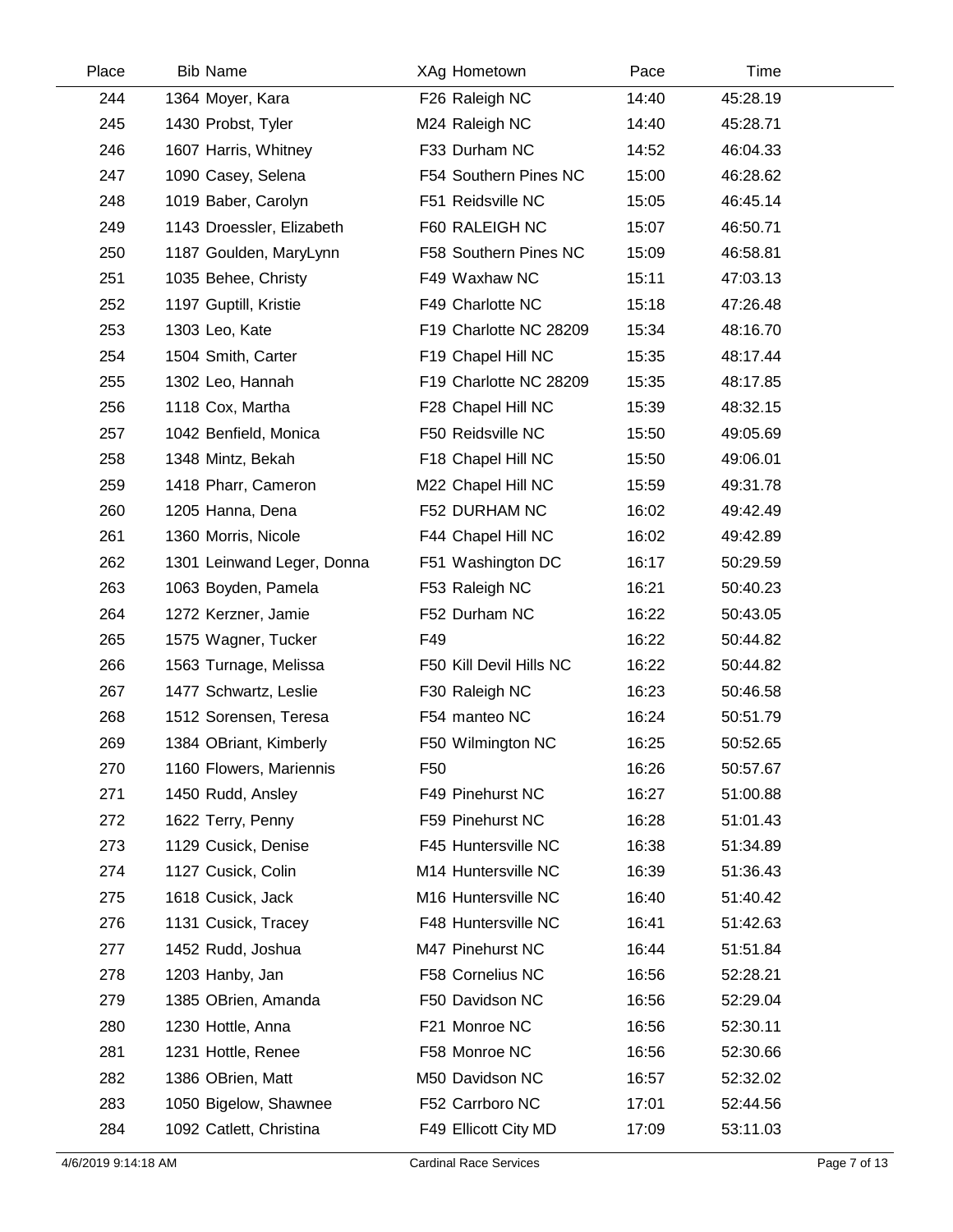| Place | <b>Bib Name</b>            | XAg Hometown            | Pace  | Time     |  |
|-------|----------------------------|-------------------------|-------|----------|--|
| 244   | 1364 Moyer, Kara           | F26 Raleigh NC          | 14:40 | 45:28.19 |  |
| 245   | 1430 Probst, Tyler         | M24 Raleigh NC          | 14:40 | 45:28.71 |  |
| 246   | 1607 Harris, Whitney       | F33 Durham NC           | 14:52 | 46:04.33 |  |
| 247   | 1090 Casey, Selena         | F54 Southern Pines NC   | 15:00 | 46:28.62 |  |
| 248   | 1019 Baber, Carolyn        | F51 Reidsville NC       | 15:05 | 46:45.14 |  |
| 249   | 1143 Droessler, Elizabeth  | F60 RALEIGH NC          | 15:07 | 46:50.71 |  |
| 250   | 1187 Goulden, MaryLynn     | F58 Southern Pines NC   | 15:09 | 46:58.81 |  |
| 251   | 1035 Behee, Christy        | F49 Waxhaw NC           | 15:11 | 47:03.13 |  |
| 252   | 1197 Guptill, Kristie      | F49 Charlotte NC        | 15:18 | 47:26.48 |  |
| 253   | 1303 Leo, Kate             | F19 Charlotte NC 28209  | 15:34 | 48:16.70 |  |
| 254   | 1504 Smith, Carter         | F19 Chapel Hill NC      | 15:35 | 48:17.44 |  |
| 255   | 1302 Leo, Hannah           | F19 Charlotte NC 28209  | 15:35 | 48:17.85 |  |
| 256   | 1118 Cox, Martha           | F28 Chapel Hill NC      | 15:39 | 48:32.15 |  |
| 257   | 1042 Benfield, Monica      | F50 Reidsville NC       | 15:50 | 49:05.69 |  |
| 258   | 1348 Mintz, Bekah          | F18 Chapel Hill NC      | 15:50 | 49:06.01 |  |
| 259   | 1418 Pharr, Cameron        | M22 Chapel Hill NC      | 15:59 | 49:31.78 |  |
| 260   | 1205 Hanna, Dena           | F52 DURHAM NC           | 16:02 | 49:42.49 |  |
| 261   | 1360 Morris, Nicole        | F44 Chapel Hill NC      | 16:02 | 49:42.89 |  |
| 262   | 1301 Leinwand Leger, Donna | F51 Washington DC       | 16:17 | 50:29.59 |  |
| 263   | 1063 Boyden, Pamela        | F53 Raleigh NC          | 16:21 | 50:40.23 |  |
| 264   | 1272 Kerzner, Jamie        | F52 Durham NC           | 16:22 | 50:43.05 |  |
| 265   | 1575 Wagner, Tucker        | F49                     | 16:22 | 50:44.82 |  |
| 266   | 1563 Turnage, Melissa      | F50 Kill Devil Hills NC | 16:22 | 50:44.82 |  |
| 267   | 1477 Schwartz, Leslie      | F30 Raleigh NC          | 16:23 | 50:46.58 |  |
| 268   | 1512 Sorensen, Teresa      | F54 manteo NC           | 16:24 | 50:51.79 |  |
| 269   | 1384 OBriant, Kimberly     | F50 Wilmington NC       | 16:25 | 50:52.65 |  |
| 270   | 1160 Flowers, Mariennis    | F <sub>50</sub>         | 16:26 | 50:57.67 |  |
| 271   | 1450 Rudd, Ansley          | F49 Pinehurst NC        | 16:27 | 51:00.88 |  |
| 272   | 1622 Terry, Penny          | F59 Pinehurst NC        | 16:28 | 51:01.43 |  |
| 273   | 1129 Cusick, Denise        | F45 Huntersville NC     | 16:38 | 51:34.89 |  |
| 274   | 1127 Cusick, Colin         | M14 Huntersville NC     | 16:39 | 51:36.43 |  |
| 275   | 1618 Cusick, Jack          | M16 Huntersville NC     | 16:40 | 51:40.42 |  |
| 276   | 1131 Cusick, Tracey        | F48 Huntersville NC     | 16:41 | 51:42.63 |  |
| 277   | 1452 Rudd, Joshua          | M47 Pinehurst NC        | 16:44 | 51:51.84 |  |
| 278   | 1203 Hanby, Jan            | F58 Cornelius NC        | 16:56 | 52:28.21 |  |
| 279   | 1385 OBrien, Amanda        | F50 Davidson NC         | 16:56 | 52:29.04 |  |
| 280   | 1230 Hottle, Anna          | F21 Monroe NC           | 16:56 | 52:30.11 |  |
| 281   | 1231 Hottle, Renee         | F58 Monroe NC           | 16:56 | 52:30.66 |  |
| 282   | 1386 OBrien, Matt          | M50 Davidson NC         | 16:57 | 52:32.02 |  |
| 283   | 1050 Bigelow, Shawnee      | F52 Carrboro NC         | 17:01 | 52:44.56 |  |
| 284   | 1092 Catlett, Christina    | F49 Ellicott City MD    | 17:09 | 53:11.03 |  |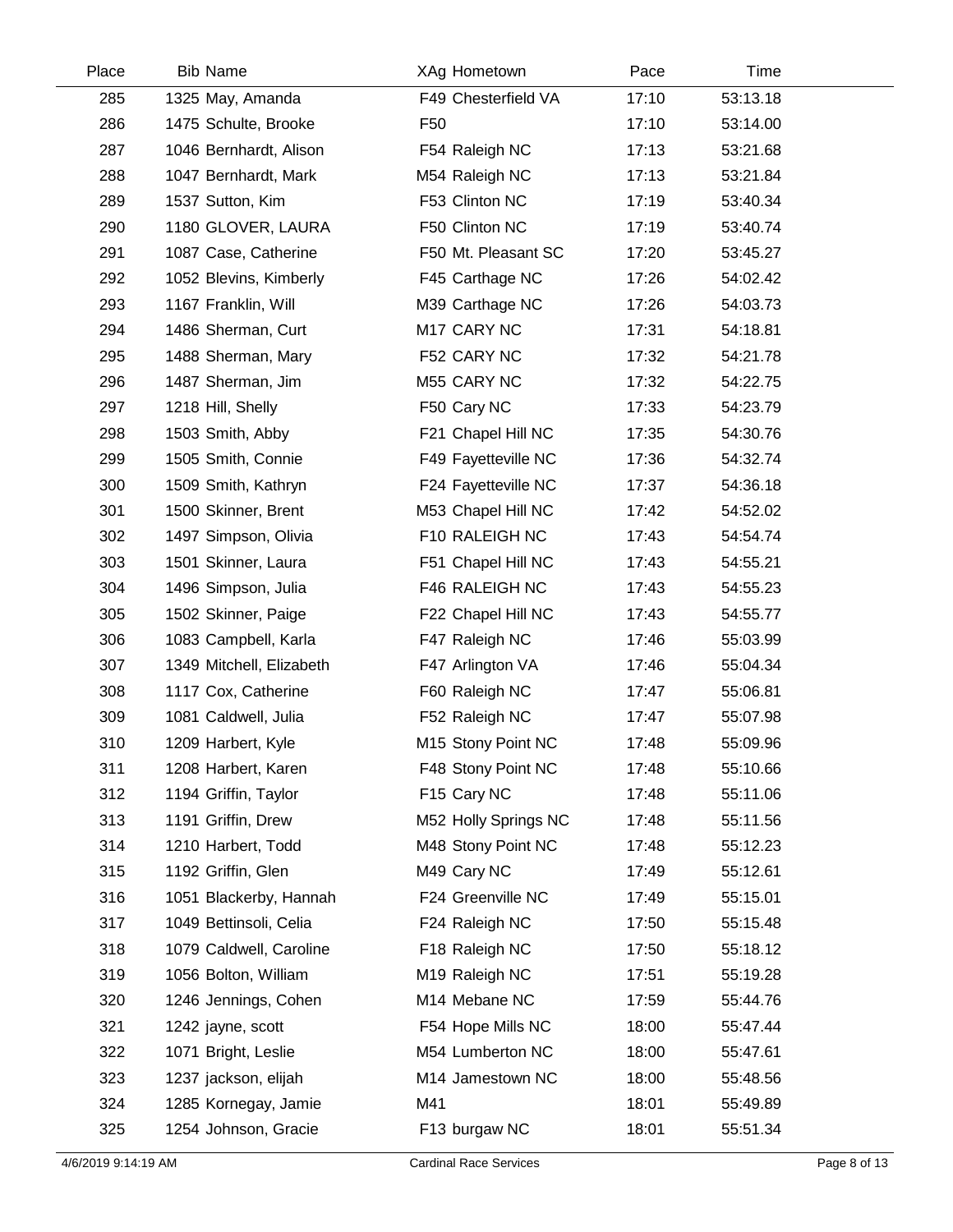| Place | <b>Bib Name</b>          | XAg Hometown         | Pace  | Time     |  |
|-------|--------------------------|----------------------|-------|----------|--|
| 285   | 1325 May, Amanda         | F49 Chesterfield VA  | 17:10 | 53:13.18 |  |
| 286   | 1475 Schulte, Brooke     | F <sub>50</sub>      | 17:10 | 53:14.00 |  |
| 287   | 1046 Bernhardt, Alison   | F54 Raleigh NC       | 17:13 | 53:21.68 |  |
| 288   | 1047 Bernhardt, Mark     | M54 Raleigh NC       | 17:13 | 53:21.84 |  |
| 289   | 1537 Sutton, Kim         | F53 Clinton NC       | 17:19 | 53:40.34 |  |
| 290   | 1180 GLOVER, LAURA       | F50 Clinton NC       | 17:19 | 53:40.74 |  |
| 291   | 1087 Case, Catherine     | F50 Mt. Pleasant SC  | 17:20 | 53:45.27 |  |
| 292   | 1052 Blevins, Kimberly   | F45 Carthage NC      | 17:26 | 54:02.42 |  |
| 293   | 1167 Franklin, Will      | M39 Carthage NC      | 17:26 | 54:03.73 |  |
| 294   | 1486 Sherman, Curt       | M17 CARY NC          | 17:31 | 54:18.81 |  |
| 295   | 1488 Sherman, Mary       | F52 CARY NC          | 17:32 | 54:21.78 |  |
| 296   | 1487 Sherman, Jim        | M55 CARY NC          | 17:32 | 54:22.75 |  |
| 297   | 1218 Hill, Shelly        | F50 Cary NC          | 17:33 | 54:23.79 |  |
| 298   | 1503 Smith, Abby         | F21 Chapel Hill NC   | 17:35 | 54:30.76 |  |
| 299   | 1505 Smith, Connie       | F49 Fayetteville NC  | 17:36 | 54:32.74 |  |
| 300   | 1509 Smith, Kathryn      | F24 Fayetteville NC  | 17:37 | 54:36.18 |  |
| 301   | 1500 Skinner, Brent      | M53 Chapel Hill NC   | 17:42 | 54:52.02 |  |
| 302   | 1497 Simpson, Olivia     | F10 RALEIGH NC       | 17:43 | 54:54.74 |  |
| 303   | 1501 Skinner, Laura      | F51 Chapel Hill NC   | 17:43 | 54:55.21 |  |
| 304   | 1496 Simpson, Julia      | F46 RALEIGH NC       | 17:43 | 54:55.23 |  |
| 305   | 1502 Skinner, Paige      | F22 Chapel Hill NC   | 17:43 | 54:55.77 |  |
| 306   | 1083 Campbell, Karla     | F47 Raleigh NC       | 17:46 | 55:03.99 |  |
| 307   | 1349 Mitchell, Elizabeth | F47 Arlington VA     | 17:46 | 55:04.34 |  |
| 308   | 1117 Cox, Catherine      | F60 Raleigh NC       | 17:47 | 55:06.81 |  |
| 309   | 1081 Caldwell, Julia     | F52 Raleigh NC       | 17:47 | 55:07.98 |  |
| 310   | 1209 Harbert, Kyle       | M15 Stony Point NC   | 17:48 | 55:09.96 |  |
| 311   | 1208 Harbert, Karen      | F48 Stony Point NC   | 17:48 | 55:10.66 |  |
| 312   | 1194 Griffin, Taylor     | F15 Cary NC          | 17:48 | 55:11.06 |  |
| 313   | 1191 Griffin, Drew       | M52 Holly Springs NC | 17:48 | 55:11.56 |  |
| 314   | 1210 Harbert, Todd       | M48 Stony Point NC   | 17:48 | 55:12.23 |  |
| 315   | 1192 Griffin, Glen       | M49 Cary NC          | 17:49 | 55:12.61 |  |
| 316   | 1051 Blackerby, Hannah   | F24 Greenville NC    | 17:49 | 55:15.01 |  |
| 317   | 1049 Bettinsoli, Celia   | F24 Raleigh NC       | 17:50 | 55:15.48 |  |
| 318   | 1079 Caldwell, Caroline  | F18 Raleigh NC       | 17:50 | 55:18.12 |  |
| 319   | 1056 Bolton, William     | M19 Raleigh NC       | 17:51 | 55:19.28 |  |
| 320   | 1246 Jennings, Cohen     | M14 Mebane NC        | 17:59 | 55:44.76 |  |
| 321   | 1242 jayne, scott        | F54 Hope Mills NC    | 18:00 | 55:47.44 |  |
| 322   | 1071 Bright, Leslie      | M54 Lumberton NC     | 18:00 | 55:47.61 |  |
| 323   | 1237 jackson, elijah     | M14 Jamestown NC     | 18:00 | 55:48.56 |  |
| 324   | 1285 Kornegay, Jamie     | M41                  | 18:01 | 55:49.89 |  |
| 325   | 1254 Johnson, Gracie     | F13 burgaw NC        | 18:01 | 55:51.34 |  |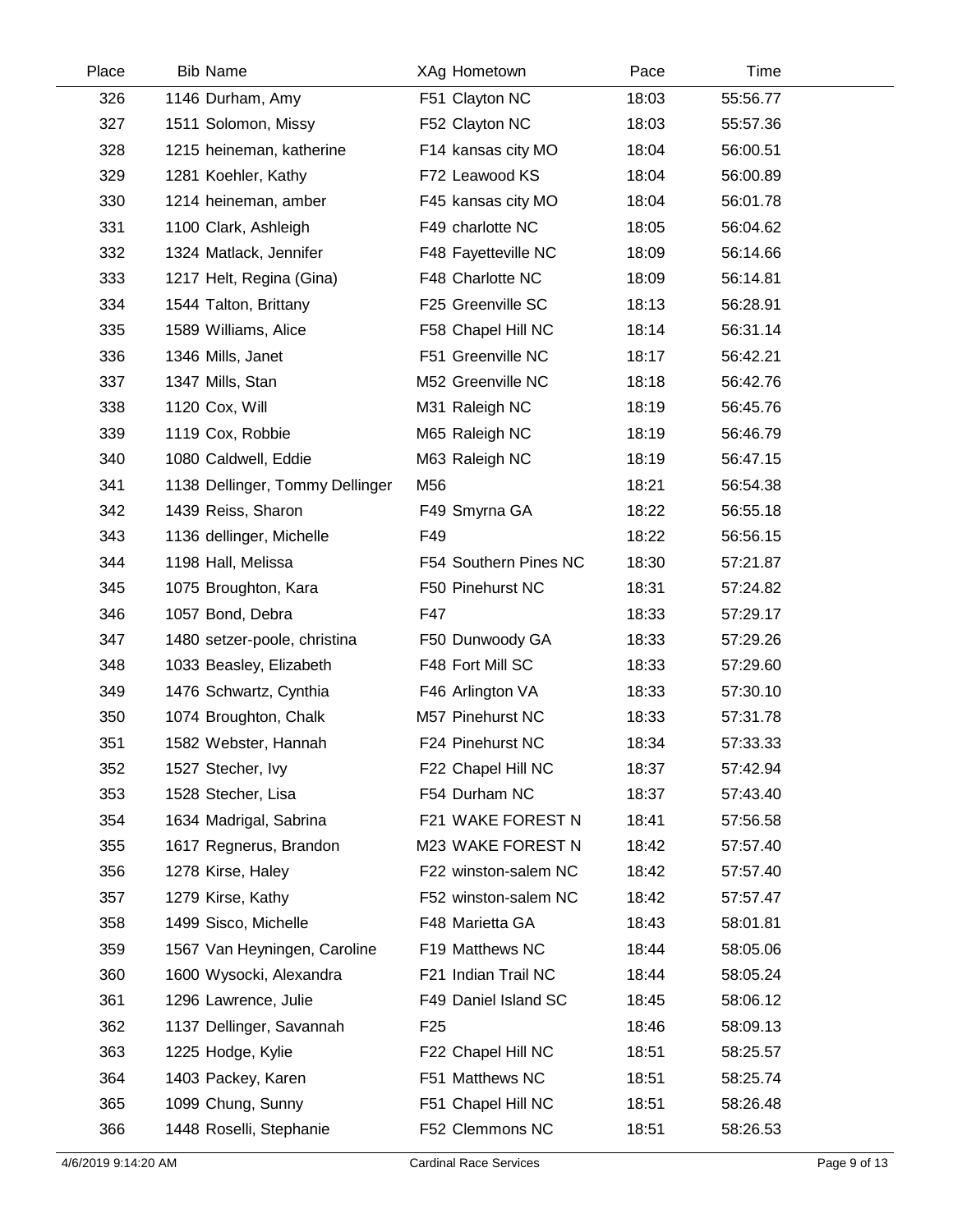| Place | <b>Bib Name</b>                 | XAg Hometown          | Pace  | Time     |
|-------|---------------------------------|-----------------------|-------|----------|
| 326   | 1146 Durham, Amy                | F51 Clayton NC        | 18:03 | 55:56.77 |
| 327   | 1511 Solomon, Missy             | F52 Clayton NC        | 18:03 | 55:57.36 |
| 328   | 1215 heineman, katherine        | F14 kansas city MO    | 18:04 | 56:00.51 |
| 329   | 1281 Koehler, Kathy             | F72 Leawood KS        | 18:04 | 56:00.89 |
| 330   | 1214 heineman, amber            | F45 kansas city MO    | 18:04 | 56:01.78 |
| 331   | 1100 Clark, Ashleigh            | F49 charlotte NC      | 18:05 | 56:04.62 |
| 332   | 1324 Matlack, Jennifer          | F48 Fayetteville NC   | 18:09 | 56:14.66 |
| 333   | 1217 Helt, Regina (Gina)        | F48 Charlotte NC      | 18:09 | 56:14.81 |
| 334   | 1544 Talton, Brittany           | F25 Greenville SC     | 18:13 | 56:28.91 |
| 335   | 1589 Williams, Alice            | F58 Chapel Hill NC    | 18:14 | 56:31.14 |
| 336   | 1346 Mills, Janet               | F51 Greenville NC     | 18:17 | 56:42.21 |
| 337   | 1347 Mills, Stan                | M52 Greenville NC     | 18:18 | 56:42.76 |
| 338   | 1120 Cox, Will                  | M31 Raleigh NC        | 18:19 | 56:45.76 |
| 339   | 1119 Cox, Robbie                | M65 Raleigh NC        | 18:19 | 56:46.79 |
| 340   | 1080 Caldwell, Eddie            | M63 Raleigh NC        | 18:19 | 56:47.15 |
| 341   | 1138 Dellinger, Tommy Dellinger | M56                   | 18:21 | 56:54.38 |
| 342   | 1439 Reiss, Sharon              | F49 Smyrna GA         | 18:22 | 56:55.18 |
| 343   | 1136 dellinger, Michelle        | F49                   | 18:22 | 56:56.15 |
| 344   | 1198 Hall, Melissa              | F54 Southern Pines NC | 18:30 | 57:21.87 |
| 345   | 1075 Broughton, Kara            | F50 Pinehurst NC      | 18:31 | 57:24.82 |
| 346   | 1057 Bond, Debra                | F47                   | 18:33 | 57:29.17 |
| 347   | 1480 setzer-poole, christina    | F50 Dunwoody GA       | 18:33 | 57:29.26 |
| 348   | 1033 Beasley, Elizabeth         | F48 Fort Mill SC      | 18:33 | 57:29.60 |
| 349   | 1476 Schwartz, Cynthia          | F46 Arlington VA      | 18:33 | 57:30.10 |
| 350   | 1074 Broughton, Chalk           | M57 Pinehurst NC      | 18:33 | 57:31.78 |
| 351   | 1582 Webster, Hannah            | F24 Pinehurst NC      | 18:34 | 57:33.33 |
| 352   | 1527 Stecher, Ivy               | F22 Chapel Hill NC    | 18:37 | 57:42.94 |
| 353   | 1528 Stecher, Lisa              | F54 Durham NC         | 18:37 | 57:43.40 |
| 354   | 1634 Madrigal, Sabrina          | F21 WAKE FOREST N     | 18:41 | 57:56.58 |
| 355   | 1617 Regnerus, Brandon          | M23 WAKE FOREST N     | 18:42 | 57:57.40 |
| 356   | 1278 Kirse, Haley               | F22 winston-salem NC  | 18:42 | 57:57.40 |
| 357   | 1279 Kirse, Kathy               | F52 winston-salem NC  | 18:42 | 57:57.47 |
| 358   | 1499 Sisco, Michelle            | F48 Marietta GA       | 18:43 | 58:01.81 |
| 359   | 1567 Van Heyningen, Caroline    | F19 Matthews NC       | 18:44 | 58:05.06 |
| 360   | 1600 Wysocki, Alexandra         | F21 Indian Trail NC   | 18:44 | 58:05.24 |
| 361   | 1296 Lawrence, Julie            | F49 Daniel Island SC  | 18:45 | 58:06.12 |
| 362   | 1137 Dellinger, Savannah        | F <sub>25</sub>       | 18:46 | 58:09.13 |
| 363   | 1225 Hodge, Kylie               | F22 Chapel Hill NC    | 18:51 | 58:25.57 |
| 364   | 1403 Packey, Karen              | F51 Matthews NC       | 18:51 | 58:25.74 |
| 365   | 1099 Chung, Sunny               | F51 Chapel Hill NC    | 18:51 | 58:26.48 |
| 366   | 1448 Roselli, Stephanie         | F52 Clemmons NC       | 18:51 | 58:26.53 |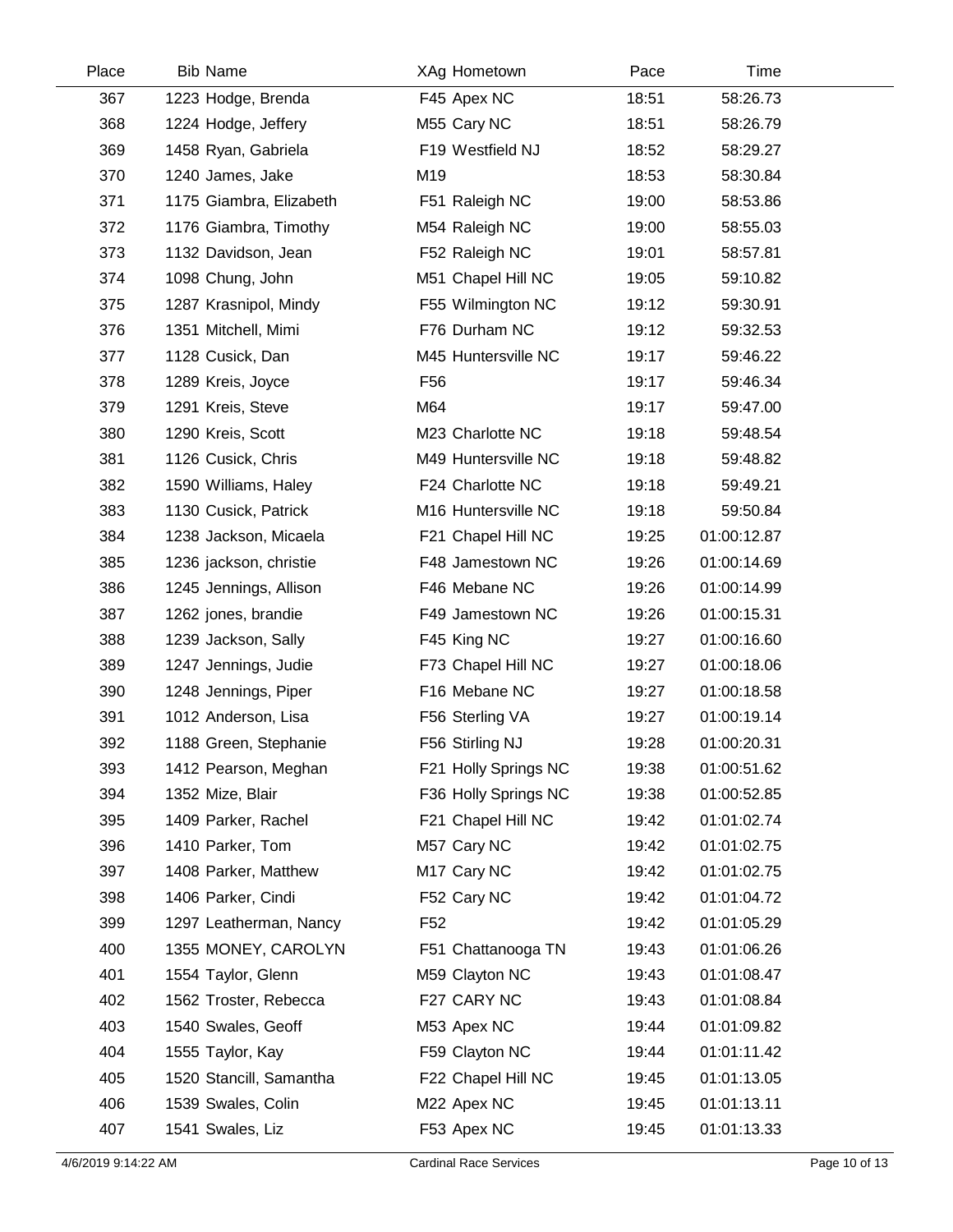| Place | <b>Bib Name</b>         | XAg Hometown            | Pace  | Time        |  |
|-------|-------------------------|-------------------------|-------|-------------|--|
| 367   | 1223 Hodge, Brenda      | F45 Apex NC             | 18:51 | 58:26.73    |  |
| 368   | 1224 Hodge, Jeffery     | M55 Cary NC             | 18:51 | 58:26.79    |  |
| 369   | 1458 Ryan, Gabriela     | F19 Westfield NJ        | 18:52 | 58:29.27    |  |
| 370   | 1240 James, Jake        | M19                     | 18:53 | 58:30.84    |  |
| 371   | 1175 Giambra, Elizabeth | F51 Raleigh NC          | 19:00 | 58:53.86    |  |
| 372   | 1176 Giambra, Timothy   | M54 Raleigh NC          | 19:00 | 58:55.03    |  |
| 373   | 1132 Davidson, Jean     | F52 Raleigh NC          | 19:01 | 58:57.81    |  |
| 374   | 1098 Chung, John        | M51 Chapel Hill NC      | 19:05 | 59:10.82    |  |
| 375   | 1287 Krasnipol, Mindy   | F55 Wilmington NC       | 19:12 | 59:30.91    |  |
| 376   | 1351 Mitchell, Mimi     | F76 Durham NC           | 19:12 | 59:32.53    |  |
| 377   | 1128 Cusick, Dan        | M45 Huntersville NC     | 19:17 | 59:46.22    |  |
| 378   | 1289 Kreis, Joyce       | F <sub>56</sub>         | 19:17 | 59:46.34    |  |
| 379   | 1291 Kreis, Steve       | M64                     | 19:17 | 59:47.00    |  |
| 380   | 1290 Kreis, Scott       | M23 Charlotte NC        | 19:18 | 59:48.54    |  |
| 381   | 1126 Cusick, Chris      | M49 Huntersville NC     | 19:18 | 59:48.82    |  |
| 382   | 1590 Williams, Haley    | F24 Charlotte NC        | 19:18 | 59:49.21    |  |
| 383   | 1130 Cusick, Patrick    | M16 Huntersville NC     | 19:18 | 59:50.84    |  |
| 384   | 1238 Jackson, Micaela   | F21 Chapel Hill NC      | 19:25 | 01:00:12.87 |  |
| 385   | 1236 jackson, christie  | F48 Jamestown NC        | 19:26 | 01:00:14.69 |  |
| 386   | 1245 Jennings, Allison  | F46 Mebane NC           | 19:26 | 01:00:14.99 |  |
| 387   | 1262 jones, brandie     | F49 Jamestown NC        | 19:26 | 01:00:15.31 |  |
| 388   | 1239 Jackson, Sally     | F45 King NC             | 19:27 | 01:00:16.60 |  |
| 389   | 1247 Jennings, Judie    | F73 Chapel Hill NC      | 19:27 | 01:00:18.06 |  |
| 390   | 1248 Jennings, Piper    | F16 Mebane NC           | 19:27 | 01:00:18.58 |  |
| 391   | 1012 Anderson, Lisa     | F56 Sterling VA         | 19:27 | 01:00:19.14 |  |
| 392   | 1188 Green, Stephanie   | F56 Stirling NJ         | 19:28 | 01:00:20.31 |  |
| 393   | 1412 Pearson, Meghan    | F21 Holly Springs NC    | 19:38 | 01:00:51.62 |  |
| 394   | 1352 Mize, Blair        | F36 Holly Springs NC    | 19:38 | 01:00:52.85 |  |
| 395   | 1409 Parker, Rachel     | F21 Chapel Hill NC      | 19:42 | 01:01:02.74 |  |
| 396   | 1410 Parker, Tom        | M57 Cary NC             | 19:42 | 01:01:02.75 |  |
| 397   | 1408 Parker, Matthew    | M <sub>17</sub> Cary NC | 19:42 | 01:01:02.75 |  |
| 398   | 1406 Parker, Cindi      | F52 Cary NC             | 19:42 | 01:01:04.72 |  |
| 399   | 1297 Leatherman, Nancy  | F <sub>52</sub>         | 19:42 | 01:01:05.29 |  |
| 400   | 1355 MONEY, CAROLYN     | F51 Chattanooga TN      | 19:43 | 01:01:06.26 |  |
| 401   | 1554 Taylor, Glenn      | M59 Clayton NC          | 19:43 | 01:01:08.47 |  |
| 402   | 1562 Troster, Rebecca   | F27 CARY NC             | 19:43 | 01:01:08.84 |  |
| 403   | 1540 Swales, Geoff      | M53 Apex NC             | 19:44 | 01:01:09.82 |  |
| 404   | 1555 Taylor, Kay        | F59 Clayton NC          | 19:44 | 01:01:11.42 |  |
| 405   | 1520 Stancill, Samantha | F22 Chapel Hill NC      | 19:45 | 01:01:13.05 |  |
| 406   | 1539 Swales, Colin      | M22 Apex NC             | 19:45 | 01:01:13.11 |  |
| 407   | 1541 Swales, Liz        | F53 Apex NC             | 19:45 | 01:01:13.33 |  |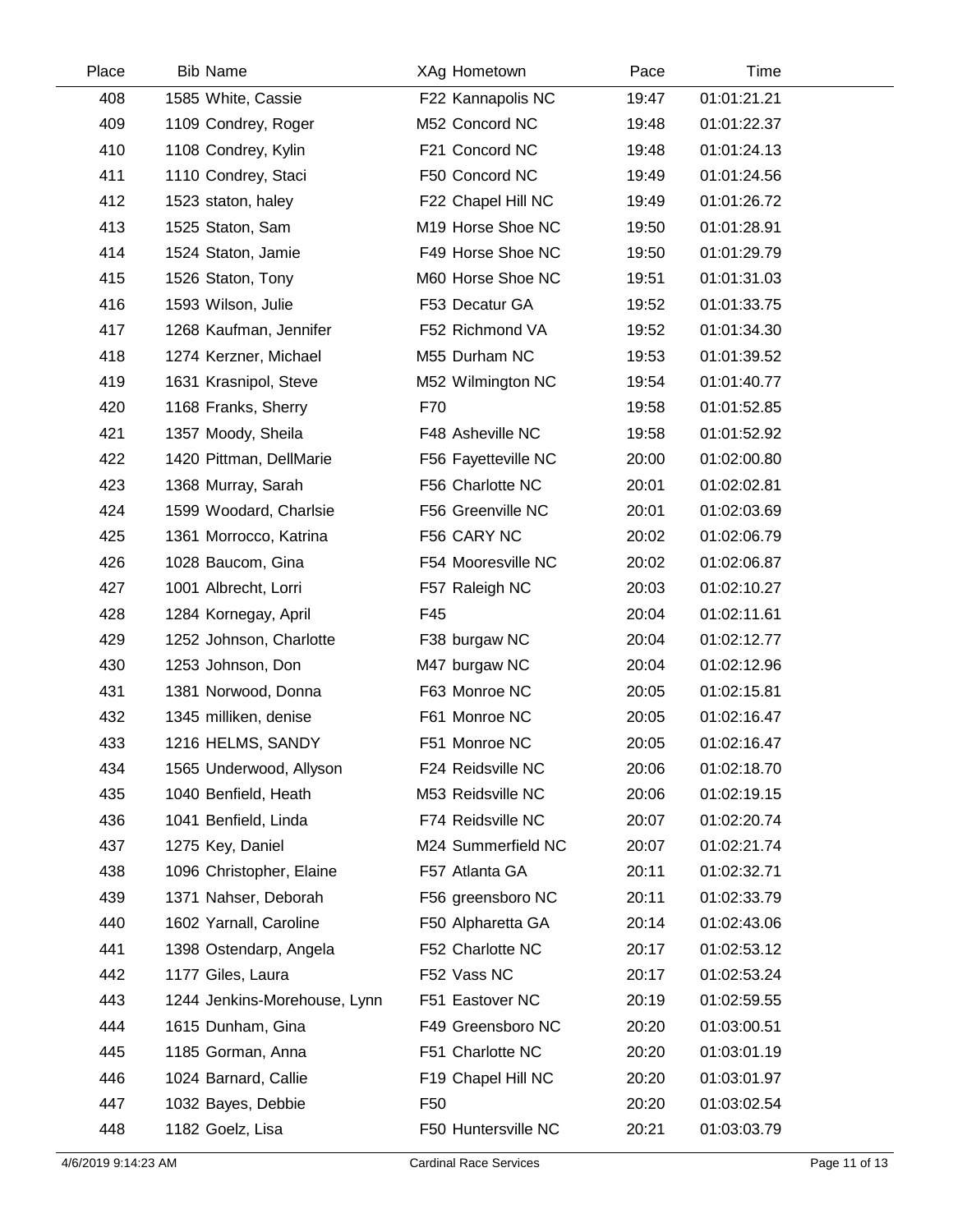| Place | <b>Bib Name</b>              | XAg Hometown        | Pace  | Time        |  |
|-------|------------------------------|---------------------|-------|-------------|--|
| 408   | 1585 White, Cassie           | F22 Kannapolis NC   | 19:47 | 01:01:21.21 |  |
| 409   | 1109 Condrey, Roger          | M52 Concord NC      | 19:48 | 01:01:22.37 |  |
| 410   | 1108 Condrey, Kylin          | F21 Concord NC      | 19:48 | 01:01:24.13 |  |
| 411   | 1110 Condrey, Staci          | F50 Concord NC      | 19:49 | 01:01:24.56 |  |
| 412   | 1523 staton, haley           | F22 Chapel Hill NC  | 19:49 | 01:01:26.72 |  |
| 413   | 1525 Staton, Sam             | M19 Horse Shoe NC   | 19:50 | 01:01:28.91 |  |
| 414   | 1524 Staton, Jamie           | F49 Horse Shoe NC   | 19:50 | 01:01:29.79 |  |
| 415   | 1526 Staton, Tony            | M60 Horse Shoe NC   | 19:51 | 01:01:31.03 |  |
| 416   | 1593 Wilson, Julie           | F53 Decatur GA      | 19:52 | 01:01:33.75 |  |
| 417   | 1268 Kaufman, Jennifer       | F52 Richmond VA     | 19:52 | 01:01:34.30 |  |
| 418   | 1274 Kerzner, Michael        | M55 Durham NC       | 19:53 | 01:01:39.52 |  |
| 419   | 1631 Krasnipol, Steve        | M52 Wilmington NC   | 19:54 | 01:01:40.77 |  |
| 420   | 1168 Franks, Sherry          | F70                 | 19:58 | 01:01:52.85 |  |
| 421   | 1357 Moody, Sheila           | F48 Asheville NC    | 19:58 | 01:01:52.92 |  |
| 422   | 1420 Pittman, DellMarie      | F56 Fayetteville NC | 20:00 | 01:02:00.80 |  |
| 423   | 1368 Murray, Sarah           | F56 Charlotte NC    | 20:01 | 01:02:02.81 |  |
| 424   | 1599 Woodard, Charlsie       | F56 Greenville NC   | 20:01 | 01:02:03.69 |  |
| 425   | 1361 Morrocco, Katrina       | F56 CARY NC         | 20:02 | 01:02:06.79 |  |
| 426   | 1028 Baucom, Gina            | F54 Mooresville NC  | 20:02 | 01:02:06.87 |  |
| 427   | 1001 Albrecht, Lorri         | F57 Raleigh NC      | 20:03 | 01:02:10.27 |  |
| 428   | 1284 Kornegay, April         | F45                 | 20:04 | 01:02:11.61 |  |
| 429   | 1252 Johnson, Charlotte      | F38 burgaw NC       | 20:04 | 01:02:12.77 |  |
| 430   | 1253 Johnson, Don            | M47 burgaw NC       | 20:04 | 01:02:12.96 |  |
| 431   | 1381 Norwood, Donna          | F63 Monroe NC       | 20:05 | 01:02:15.81 |  |
| 432   | 1345 milliken, denise        | F61 Monroe NC       | 20:05 | 01:02:16.47 |  |
| 433   | 1216 HELMS, SANDY            | F51 Monroe NC       | 20:05 | 01:02:16.47 |  |
| 434   | 1565 Underwood, Allyson      | F24 Reidsville NC   | 20:06 | 01:02:18.70 |  |
| 435   | 1040 Benfield, Heath         | M53 Reidsville NC   | 20:06 | 01:02:19.15 |  |
| 436   | 1041 Benfield, Linda         | F74 Reidsville NC   | 20:07 | 01:02:20.74 |  |
| 437   | 1275 Key, Daniel             | M24 Summerfield NC  | 20:07 | 01:02:21.74 |  |
| 438   | 1096 Christopher, Elaine     | F57 Atlanta GA      | 20:11 | 01:02:32.71 |  |
| 439   | 1371 Nahser, Deborah         | F56 greensboro NC   | 20:11 | 01:02:33.79 |  |
| 440   | 1602 Yarnall, Caroline       | F50 Alpharetta GA   | 20:14 | 01:02:43.06 |  |
| 441   | 1398 Ostendarp, Angela       | F52 Charlotte NC    | 20:17 | 01:02:53.12 |  |
| 442   | 1177 Giles, Laura            | F52 Vass NC         | 20:17 | 01:02:53.24 |  |
| 443   | 1244 Jenkins-Morehouse, Lynn | F51 Eastover NC     | 20:19 | 01:02:59.55 |  |
| 444   | 1615 Dunham, Gina            | F49 Greensboro NC   | 20:20 | 01:03:00.51 |  |
| 445   | 1185 Gorman, Anna            | F51 Charlotte NC    | 20:20 | 01:03:01.19 |  |
| 446   | 1024 Barnard, Callie         | F19 Chapel Hill NC  | 20:20 | 01:03:01.97 |  |
| 447   | 1032 Bayes, Debbie           | F <sub>50</sub>     | 20:20 | 01:03:02.54 |  |
| 448   | 1182 Goelz, Lisa             | F50 Huntersville NC | 20:21 | 01:03:03.79 |  |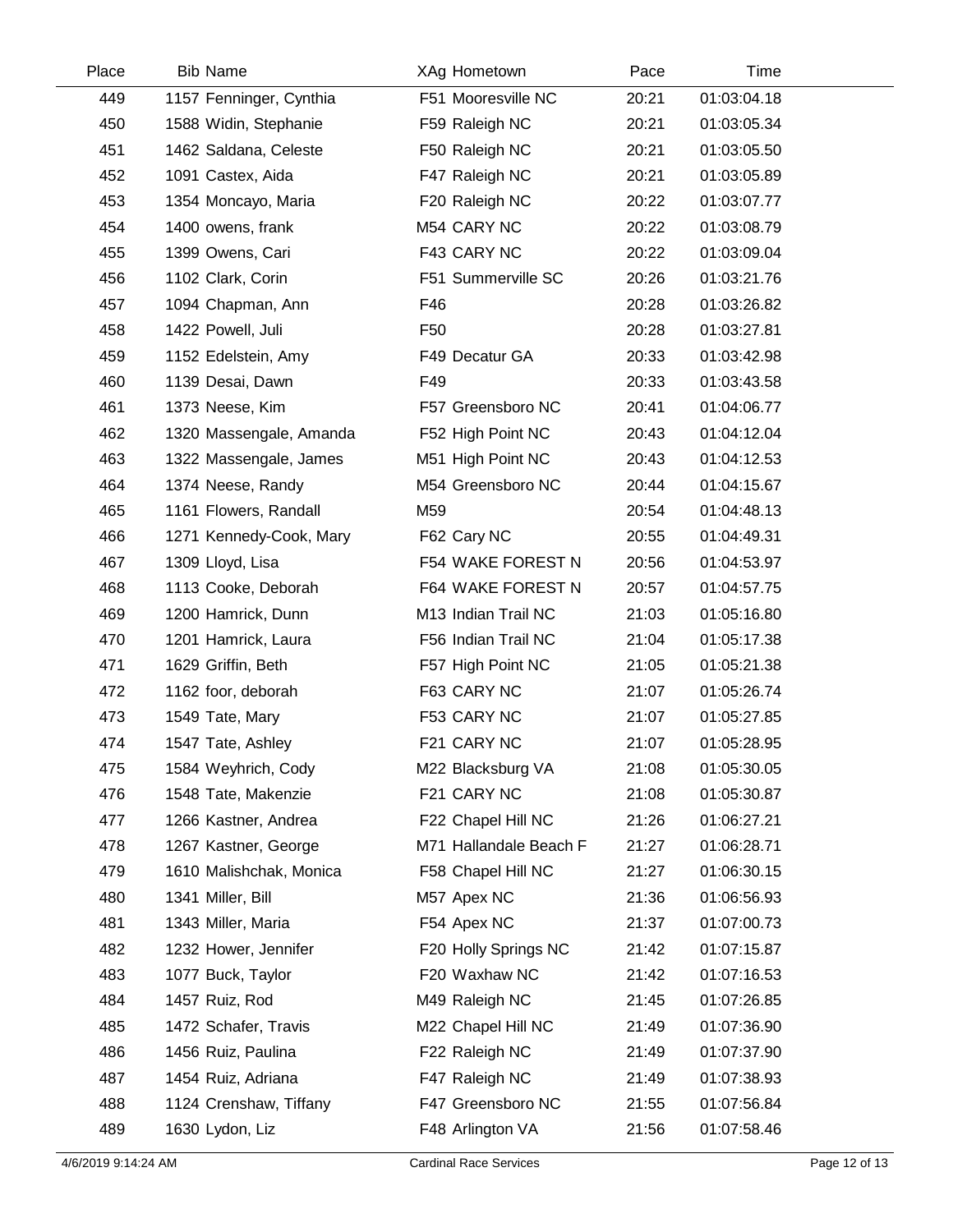| Place | <b>Bib Name</b>         | XAg Hometown           | Pace  | Time        |  |
|-------|-------------------------|------------------------|-------|-------------|--|
| 449   | 1157 Fenninger, Cynthia | F51 Mooresville NC     | 20:21 | 01:03:04.18 |  |
| 450   | 1588 Widin, Stephanie   | F59 Raleigh NC         | 20:21 | 01:03:05.34 |  |
| 451   | 1462 Saldana, Celeste   | F50 Raleigh NC         | 20:21 | 01:03:05.50 |  |
| 452   | 1091 Castex, Aida       | F47 Raleigh NC         | 20:21 | 01:03:05.89 |  |
| 453   | 1354 Moncayo, Maria     | F20 Raleigh NC         | 20:22 | 01:03:07.77 |  |
| 454   | 1400 owens, frank       | M54 CARY NC            | 20:22 | 01:03:08.79 |  |
| 455   | 1399 Owens, Cari        | F43 CARY NC            | 20:22 | 01:03:09.04 |  |
| 456   | 1102 Clark, Corin       | F51 Summerville SC     | 20:26 | 01:03:21.76 |  |
| 457   | 1094 Chapman, Ann       | F46                    | 20:28 | 01:03:26.82 |  |
| 458   | 1422 Powell, Juli       | F <sub>50</sub>        | 20:28 | 01:03:27.81 |  |
| 459   | 1152 Edelstein, Amy     | F49 Decatur GA         | 20:33 | 01:03:42.98 |  |
| 460   | 1139 Desai, Dawn        | F49                    | 20:33 | 01:03:43.58 |  |
| 461   | 1373 Neese, Kim         | F57 Greensboro NC      | 20:41 | 01:04:06.77 |  |
| 462   | 1320 Massengale, Amanda | F52 High Point NC      | 20:43 | 01:04:12.04 |  |
| 463   | 1322 Massengale, James  | M51 High Point NC      | 20:43 | 01:04:12.53 |  |
| 464   | 1374 Neese, Randy       | M54 Greensboro NC      | 20:44 | 01:04:15.67 |  |
| 465   | 1161 Flowers, Randall   | M59                    | 20:54 | 01:04:48.13 |  |
| 466   | 1271 Kennedy-Cook, Mary | F62 Cary NC            | 20:55 | 01:04:49.31 |  |
| 467   | 1309 Lloyd, Lisa        | F54 WAKE FOREST N      | 20:56 | 01:04:53.97 |  |
| 468   | 1113 Cooke, Deborah     | F64 WAKE FOREST N      | 20:57 | 01:04:57.75 |  |
| 469   | 1200 Hamrick, Dunn      | M13 Indian Trail NC    | 21:03 | 01:05:16.80 |  |
| 470   | 1201 Hamrick, Laura     | F56 Indian Trail NC    | 21:04 | 01:05:17.38 |  |
| 471   | 1629 Griffin, Beth      | F57 High Point NC      | 21:05 | 01:05:21.38 |  |
| 472   | 1162 foor, deborah      | F63 CARY NC            | 21:07 | 01:05:26.74 |  |
| 473   | 1549 Tate, Mary         | F53 CARY NC            | 21:07 | 01:05:27.85 |  |
| 474   | 1547 Tate, Ashley       | F21 CARY NC            | 21:07 | 01:05:28.95 |  |
| 475   | 1584 Weyhrich, Cody     | M22 Blacksburg VA      | 21:08 | 01:05:30.05 |  |
| 476   | 1548 Tate, Makenzie     | F21 CARY NC            | 21:08 | 01:05:30.87 |  |
| 477   | 1266 Kastner, Andrea    | F22 Chapel Hill NC     | 21:26 | 01:06:27.21 |  |
| 478   | 1267 Kastner, George    | M71 Hallandale Beach F | 21:27 | 01:06:28.71 |  |
| 479   | 1610 Malishchak, Monica | F58 Chapel Hill NC     | 21:27 | 01:06:30.15 |  |
| 480   | 1341 Miller, Bill       | M57 Apex NC            | 21:36 | 01:06:56.93 |  |
| 481   | 1343 Miller, Maria      | F54 Apex NC            | 21:37 | 01:07:00.73 |  |
| 482   | 1232 Hower, Jennifer    | F20 Holly Springs NC   | 21:42 | 01:07:15.87 |  |
| 483   | 1077 Buck, Taylor       | F20 Waxhaw NC          | 21:42 | 01:07:16.53 |  |
| 484   | 1457 Ruiz, Rod          | M49 Raleigh NC         | 21:45 | 01:07:26.85 |  |
| 485   | 1472 Schafer, Travis    | M22 Chapel Hill NC     | 21:49 | 01:07:36.90 |  |
| 486   | 1456 Ruiz, Paulina      | F22 Raleigh NC         | 21:49 | 01:07:37.90 |  |
| 487   | 1454 Ruiz, Adriana      | F47 Raleigh NC         | 21:49 | 01:07:38.93 |  |
| 488   | 1124 Crenshaw, Tiffany  | F47 Greensboro NC      | 21:55 | 01:07:56.84 |  |
| 489   | 1630 Lydon, Liz         | F48 Arlington VA       | 21:56 | 01:07:58.46 |  |